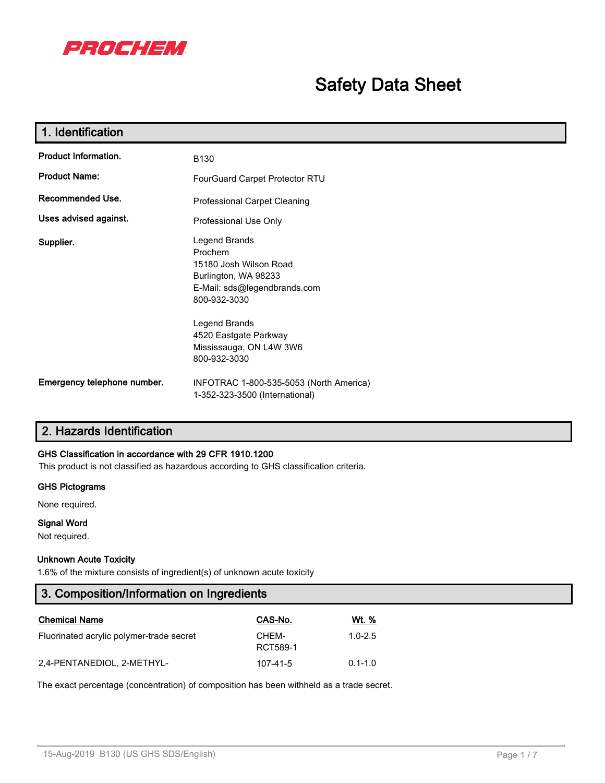

# **Safety Data Sheet**

| 1. Identification           |                                                                                                                            |
|-----------------------------|----------------------------------------------------------------------------------------------------------------------------|
| <b>Product Information.</b> | <b>B130</b>                                                                                                                |
| <b>Product Name:</b>        | FourGuard Carpet Protector RTU                                                                                             |
| Recommended Use.            | <b>Professional Carpet Cleaning</b>                                                                                        |
| Uses advised against.       | Professional Use Only                                                                                                      |
| Supplier.                   | Legend Brands<br>Prochem<br>15180 Josh Wilson Road<br>Burlington, WA 98233<br>E-Mail: sds@legendbrands.com<br>800-932-3030 |
|                             | Legend Brands<br>4520 Eastgate Parkway<br>Mississauga, ON L4W 3W6<br>800-932-3030                                          |
| Emergency telephone number. | INFOTRAC 1-800-535-5053 (North America)<br>1-352-323-3500 (International)                                                  |

# **2. Hazards Identification**

# **GHS Classification in accordance with 29 CFR 1910.1200**

This product is not classified as hazardous according to GHS classification criteria.

#### **GHS Pictograms**

None required.

### **Signal Word**

Not required.

#### **Unknown Acute Toxicity**

1.6% of the mixture consists of ingredient(s) of unknown acute toxicity

| 3. Composition/Information on Ingredients |                   |              |  |  |
|-------------------------------------------|-------------------|--------------|--|--|
| <b>Chemical Name</b>                      | CAS-No.           | <u>Wt. %</u> |  |  |
| Fluorinated acrylic polymer-trade secret  | CHEM-<br>RCT589-1 | $1.0 - 2.5$  |  |  |
| 2,4-PENTANEDIOL, 2-METHYL-                | 107-41-5          | $0.1 - 1.0$  |  |  |

The exact percentage (concentration) of composition has been withheld as a trade secret.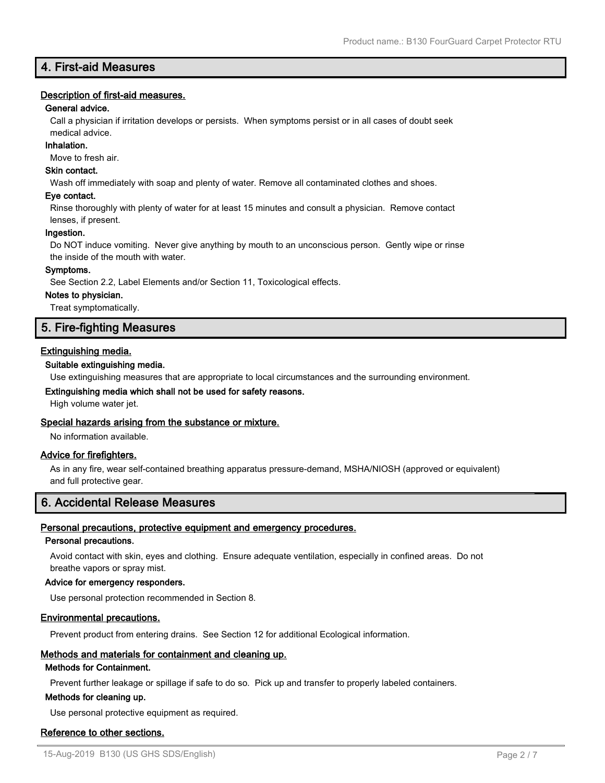# **4. First-aid Measures**

#### **Description of first-aid measures.**

#### **General advice.**

Call a physician if irritation develops or persists. When symptoms persist or in all cases of doubt seek medical advice.

#### **Inhalation.**

Move to fresh air.

#### **Skin contact.**

Wash off immediately with soap and plenty of water. Remove all contaminated clothes and shoes.

#### **Eye contact.**

Rinse thoroughly with plenty of water for at least 15 minutes and consult a physician. Remove contact lenses, if present.

#### **Ingestion.**

Do NOT induce vomiting. Never give anything by mouth to an unconscious person. Gently wipe or rinse the inside of the mouth with water.

#### **Symptoms.**

See Section 2.2, Label Elements and/or Section 11, Toxicological effects.

#### **Notes to physician.**

Treat symptomatically.

# **5. Fire-fighting Measures**

#### **Extinguishing media.**

#### **Suitable extinguishing media.**

Use extinguishing measures that are appropriate to local circumstances and the surrounding environment.

#### **Extinguishing media which shall not be used for safety reasons.**

High volume water jet.

#### **Special hazards arising from the substance or mixture.**

No information available.

#### **Advice for firefighters.**

As in any fire, wear self-contained breathing apparatus pressure-demand, MSHA/NIOSH (approved or equivalent) and full protective gear.

# **6. Accidental Release Measures**

#### **Personal precautions, protective equipment and emergency procedures.**

#### **Personal precautions.**

Avoid contact with skin, eyes and clothing. Ensure adequate ventilation, especially in confined areas. Do not breathe vapors or spray mist.

### **Advice for emergency responders.**

Use personal protection recommended in Section 8.

#### **Environmental precautions.**

Prevent product from entering drains. See Section 12 for additional Ecological information.

#### **Methods and materials for containment and cleaning up.**

#### **Methods for Containment.**

Prevent further leakage or spillage if safe to do so. Pick up and transfer to properly labeled containers.

#### **Methods for cleaning up.**

Use personal protective equipment as required.

## **Reference to other sections.**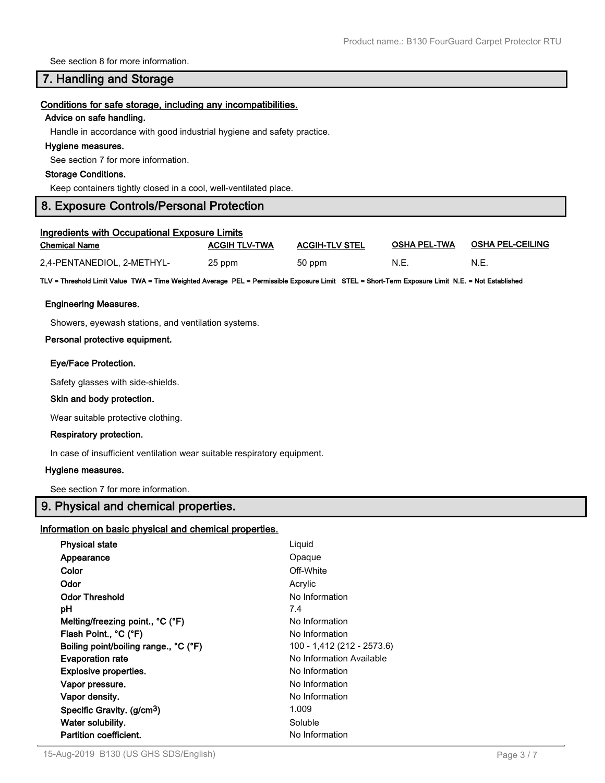See section 8 for more information.

# **7. Handling and Storage**

#### **Conditions for safe storage, including any incompatibilities.**

#### **Advice on safe handling.**

Handle in accordance with good industrial hygiene and safety practice.

#### **Hygiene measures.**

See section 7 for more information.

#### **Storage Conditions.**

Keep containers tightly closed in a cool, well-ventilated place.

# **8. Exposure Controls/Personal Protection**

| <b>Ingredients with Occupational Exposure Limits</b> |                      |                       |                     |                         |  |  |
|------------------------------------------------------|----------------------|-----------------------|---------------------|-------------------------|--|--|
| <b>Chemical Name</b>                                 | <b>ACGIH TLV-TWA</b> | <b>ACGIH-TLV STEL</b> | <b>OSHA PEL TWA</b> | <b>OSHA PEL-CEILING</b> |  |  |
| 2,4-PENTANEDIOL, 2-METHYL-                           | 25 ppm               | 50 ppm                | N.E.                | N.E.                    |  |  |

**TLV = Threshold Limit Value TWA = Time Weighted Average PEL = Permissible Exposure Limit STEL = Short-Term Exposure Limit N.E. = Not Established**

#### **Engineering Measures.**

Showers, eyewash stations, and ventilation systems.

#### **Personal protective equipment.**

#### **Eye/Face Protection.**

Safety glasses with side-shields.

#### **Skin and body protection.**

Wear suitable protective clothing.

### **Respiratory protection.**

In case of insufficient ventilation wear suitable respiratory equipment.

#### **Hygiene measures.**

See section 7 for more information.

# **9. Physical and chemical properties.**

#### **Information on basic physical and chemical properties.**

| <b>Physical state</b>                  | Liquid                     |
|----------------------------------------|----------------------------|
| Appearance                             | Opaque                     |
| Color                                  | Off-White                  |
| Odor                                   | Acrylic                    |
| <b>Odor Threshold</b>                  | No Information             |
| рH                                     | 7.4                        |
| Melting/freezing point., °C (°F)       | No Information             |
| Flash Point., °C (°F)                  | No Information             |
| Boiling point/boiling range., °C (°F)  | 100 - 1,412 (212 - 2573.6) |
| <b>Evaporation rate</b>                | No Information Available   |
| <b>Explosive properties.</b>           | No Information             |
| Vapor pressure.                        | No Information             |
| Vapor density.                         | No Information             |
| Specific Gravity. (g/cm <sup>3</sup> ) | 1.009                      |
| Water solubility.                      | Soluble                    |
| <b>Partition coefficient.</b>          | No Information             |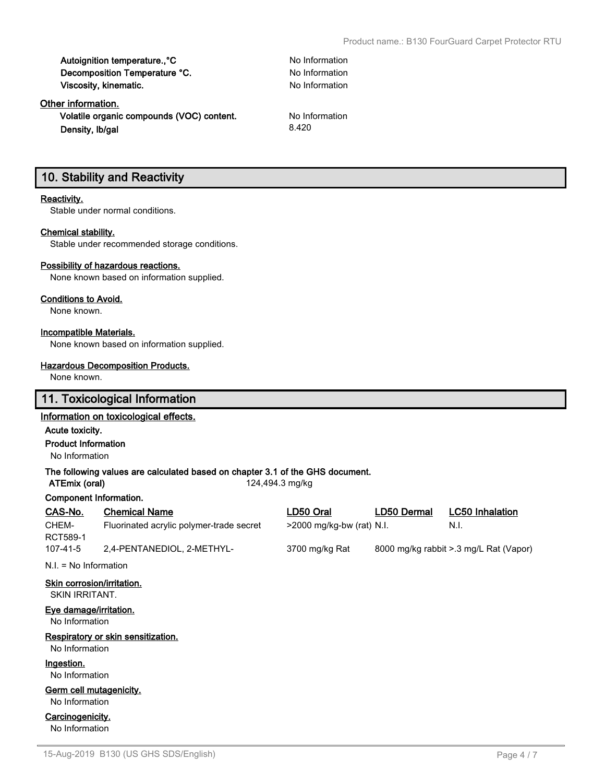| Autoignition temperature., °C |  |
|-------------------------------|--|
| Decomposition Temperature °C. |  |
| Viscosity, kinematic.         |  |

# **Other information.**

**Volatile organic compounds (VOC) content.** No Information **Density, Ib/gal** 8.420

**No Information No Information No Information** 

# **10. Stability and Reactivity**

#### **Reactivity.**

Stable under normal conditions.

#### **Chemical stability.**

Stable under recommended storage conditions.

#### **Possibility of hazardous reactions.**

None known based on information supplied.

## **Conditions to Avoid.**

None known.

# **Incompatible Materials.**

None known based on information supplied.

#### **Hazardous Decomposition Products.**

None known.

# **11. Toxicological Information**

# **Information on toxicological effects.**

#### **Acute toxicity.**

#### **Product Information**

No Information

### **The following values are calculated based on chapter 3.1 of the GHS document.**

**ATEmix (oral)** 124,494.3 mg/kg

### **Component Information.**

| CAS-No.  | <b>Chemical Name</b>                     | LD50 Oral                    | LD50 Dermal | <b>LC50 Inhalation</b>                 |
|----------|------------------------------------------|------------------------------|-------------|----------------------------------------|
| CHEM-    | Fluorinated acrylic polymer-trade secret | $>$ 2000 mg/kg-bw (rat) N.I. |             | N.I.                                   |
| RCT589-1 |                                          |                              |             |                                        |
| 107-41-5 | 2,4-PENTANEDIOL, 2-METHYL-               | 3700 mg/kg Rat               |             | 8000 mg/kg rabbit > 3 mg/L Rat (Vapor) |

N.I. = No Information

# **Skin corrosion/irritation.**

SKIN IRRITANT.

#### **Eye damage/irritation.**

No Information

### **Respiratory or skin sensitization.**

No Information

# **Ingestion.**

No Information

### **Germ cell mutagenicity.**

No Information

#### **Carcinogenicity.** No Information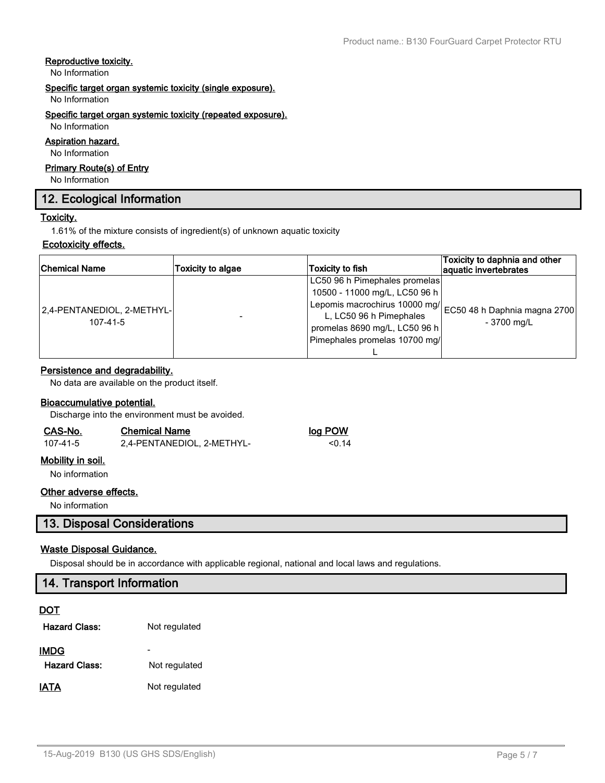### **Reproductive toxicity.**

No Information

# **Specific target organ systemic toxicity (single exposure).**

No Information

#### **Specific target organ systemic toxicity (repeated exposure).**

# No Information **Aspiration hazard.**

No Information

# **Primary Route(s) of Entry**

No Information

# **12. Ecological Information**

# **Toxicity.**

1.61% of the mixture consists of ingredient(s) of unknown aquatic toxicity

# **Ecotoxicity effects.**

| <b>Chemical Name</b>                   | Toxicity to algae | Toxicity to fish              | Toxicity to daphnia and other<br>aquatic invertebrates |  |
|----------------------------------------|-------------------|-------------------------------|--------------------------------------------------------|--|
|                                        |                   | LC50 96 h Pimephales promelas |                                                        |  |
| 2,4-PENTANEDIOL, 2-METHYL-<br>107-41-5 |                   | 10500 - 11000 mg/L, LC50 96 h |                                                        |  |
|                                        |                   | Lepomis macrochirus 10000 mg/ | EC50 48 h Daphnia magna 2700                           |  |
|                                        |                   | L, LC50 96 h Pimephales       | - 3700 mg/L                                            |  |
|                                        |                   | promelas 8690 mg/L, LC50 96 h |                                                        |  |
|                                        |                   | Pimephales promelas 10700 mg/ |                                                        |  |
|                                        |                   |                               |                                                        |  |

# **Persistence and degradability.**

No data are available on the product itself.

# **Bioaccumulative potential.**

Discharge into the environment must be avoided.

| CAS-No.  | <b>Chemical Name</b>       | log POW |  |  |
|----------|----------------------------|---------|--|--|
| 107-41-5 | 2,4-PENTANEDIOL, 2-METHYL- | < 0.14  |  |  |

# **Mobility in soil.**

No information

# **Other adverse effects.**

No information

# **13. Disposal Considerations**

# **Waste Disposal Guidance.**

Disposal should be in accordance with applicable regional, national and local laws and regulations.

| 14. Transport Information |                          |  |  |  |
|---------------------------|--------------------------|--|--|--|
| <b>DOT</b>                |                          |  |  |  |
| <b>Hazard Class:</b>      | Not regulated            |  |  |  |
| <b>IMDG</b>               | $\overline{\phantom{a}}$ |  |  |  |
| <b>Hazard Class:</b>      | Not regulated            |  |  |  |
| <b>IATA</b>               | Not regulated            |  |  |  |
|                           |                          |  |  |  |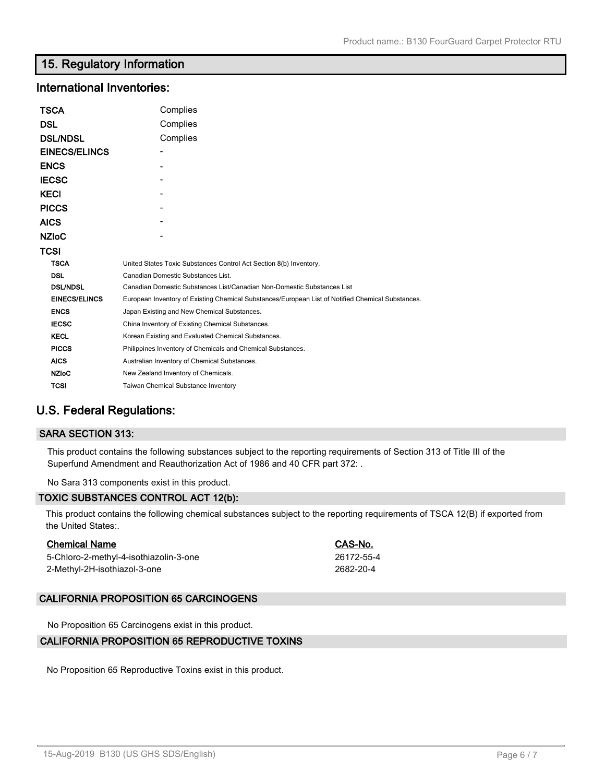# **15. Regulatory Information**

# **International Inventories:**

| TSCA                 | Complies                                                                                          |  |  |
|----------------------|---------------------------------------------------------------------------------------------------|--|--|
| DSL                  | Complies                                                                                          |  |  |
| <b>DSL/NDSL</b>      | Complies                                                                                          |  |  |
| <b>EINECS/ELINCS</b> |                                                                                                   |  |  |
| <b>ENCS</b>          |                                                                                                   |  |  |
| <b>IECSC</b>         |                                                                                                   |  |  |
| KECI                 |                                                                                                   |  |  |
| <b>PICCS</b>         |                                                                                                   |  |  |
| AICS                 |                                                                                                   |  |  |
| <b>NZIoC</b>         |                                                                                                   |  |  |
| TCSI                 |                                                                                                   |  |  |
| <b>TSCA</b>          | United States Toxic Substances Control Act Section 8(b) Inventory.                                |  |  |
| <b>DSL</b>           | Canadian Domestic Substances List.                                                                |  |  |
| <b>DSL/NDSL</b>      | Canadian Domestic Substances List/Canadian Non-Domestic Substances List                           |  |  |
| <b>EINECS/ELINCS</b> | European Inventory of Existing Chemical Substances/European List of Notified Chemical Substances. |  |  |
| <b>ENCS</b>          | Japan Existing and New Chemical Substances.                                                       |  |  |
| <b>IECSC</b>         | China Inventory of Existing Chemical Substances.                                                  |  |  |
| <b>KECL</b>          | Korean Existing and Evaluated Chemical Substances.                                                |  |  |
| <b>PICCS</b>         | Philippines Inventory of Chemicals and Chemical Substances.                                       |  |  |
| <b>AICS</b>          | Australian Inventory of Chemical Substances.                                                      |  |  |
| <b>NZIoC</b>         | New Zealand Inventory of Chemicals.                                                               |  |  |
| TCSI                 | <b>Taiwan Chemical Substance Inventory</b>                                                        |  |  |

# **U.S. Federal Regulations:**

### **SARA SECTION 313:**

This product contains the following substances subject to the reporting requirements of Section 313 of Title III of the Superfund Amendment and Reauthorization Act of 1986 and 40 CFR part 372: .

No Sara 313 components exist in this product.

### **TOXIC SUBSTANCES CONTROL ACT 12(b):**

This product contains the following chemical substances subject to the reporting requirements of TSCA 12(B) if exported from the United States:.

### **Chemical Name CAS-No.**

5-Chloro-2-methyl-4-isothiazolin-3-one 26172-55-4 2-Methyl-2H-isothiazol-3-one 2682-20-4

## **CALIFORNIA PROPOSITION 65 CARCINOGENS**

No Proposition 65 Carcinogens exist in this product.

# **CALIFORNIA PROPOSITION 65 REPRODUCTIVE TOXINS**

No Proposition 65 Reproductive Toxins exist in this product.